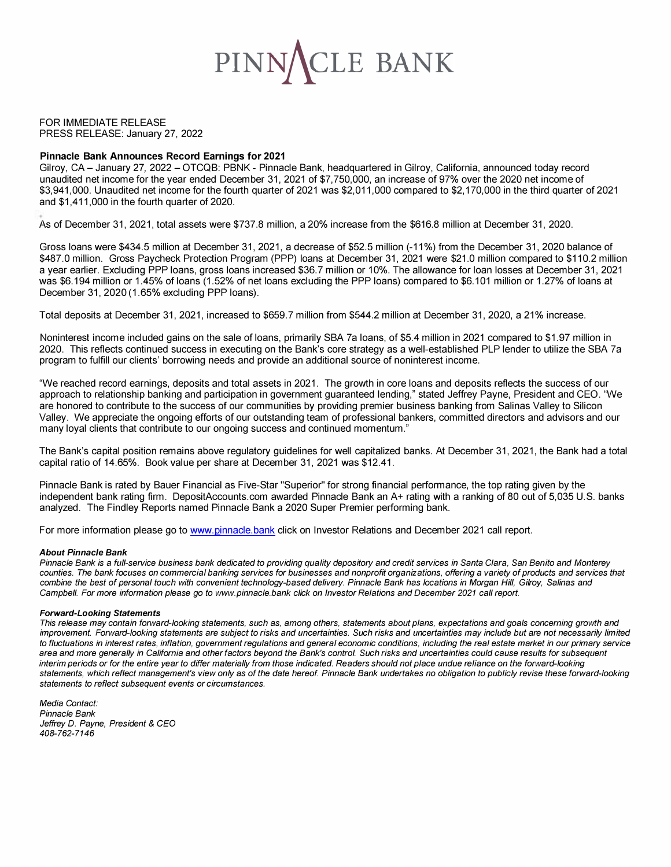

FOR IMMEDIATE RELEASE PRESS RELEASE: January 27, 2022

### **Pinnacle Bank Announces Record Earnings for 2021**

Gilroy, CA - January 27, 2022 - OTCQB: PBNK - Pinnacle Bank, headquartered in Gilroy, California, announced today record unaudited net income for the year ended December 31, 2021 of \$7,750,000, an increase of 97% over the 2020 net income of \$3,941,000. Unaudited net income for the fourth quarter of 2021 was \$2,011,000 compared to \$2,170,000 in the third quarter of 2021 and \$1,411,000 in the fourth quarter of 2020.

As of December 31, 2021, total assets were \$737.8 million, a 20% increase from the \$616.8 million at December 31, 2020.

Gross loans were \$434.5 million at December 31, 2021, a decrease of \$52.5 million (-11 %) from the December 31, 2020 balance of \$487.0 million. Gross Paycheck Protection Program (PPP) loans at December 31, 2021 were \$21.0 million compared to \$110.2 million a year earlier. Excluding PPP loans, gross loans increased \$36.7 million or 10%. The allowance for loan losses at December 31, 2021 was \$6.194 million or 1.45% of loans (1.52% of net loans excluding the PPP loans) compared to \$6.101 million or 1.27% of loans at December 31, 2020 (1.65% excluding PPP loans).

Total deposits at December 31, 2021, increased to \$659.7 million from \$544.2 million at December 31, 2020, a 21% increase.

Noninterest income included gains on the sale of loans, primarily SBA 7a loans, of \$5.4 million in 2021 compared to \$1.97 million in 2020. This reflects continued success in executing on the Bank's core strategy as a well-established PLP lender to utilize the SBA 7a program to fulfill our clients' borrowing needs and provide an additional source of noninterest income.

"We reached record earnings, deposits and total assets in 2021. The growth in core loans and deposits reflects the success of our approach to relationship banking and participation in government guaranteed lending," stated Jeffrey Payne, President and CEO. "We are honored to contribute to the success of our communities by providing premier business banking from Salinas Valley to Silicon Valley. We appreciate the ongoing efforts of our outstanding team of professional bankers, committed directors and advisors and our many loyal clients that contribute to our ongoing success and continued momentum."

The Bank's capital position remains above regulatory guidelines for well capitalized banks. At December 31, 2021, the Bank had a total capital ratio of 14.65%. Book value per share at December 31, 2021 was \$12.41.

Pinnacle Bank is rated by Bauer Financial as Five-Star "Superior" for strong financial performance, the top rating given by the independent bank rating firm. [DepositAccounts.com](https://DepositAccounts.com) awarded Pinnacle Bank an A+ rating with a ranking of 80 out of 5,035 U.S. banks analyzed. The Findley Reports named Pinnacle Bank a 2020 Super Premier performing bank.

For more information please go to <www.pinnacle.bank>click on Investor Relations and December 2021 call report.

#### *About Pinnacle Bank*

*Pinnacle Bank is a full-service business bank dedicated to providing quality depository and credit services in Santa Clara, San Benito and Monterey*  counties. The bank focuses on commercial banking services for businesses and nonprofit organizations, offering a variety of products and services that *combine the best of personal touch with convenient technology-based delivery. Pinnacle Bank has locations in Morgan Hill, Gilroy, Salinas and Campbell. For more information please go to <www.pinnacle.bank>click on Investor Relations and December 2021 call report.* 

### *Forward-Looking Statements*

*This release may contain forward-looking statements, such as, among others, statements about plans, expectations and goals concerning growth and improvement. Forward-looking statements are subject to risks and uncertainties. Such risks and uncertainties may include but are not necessarily limited to fluctuations in interest rates, inflation, government regulations and general economic conditions, including the real estate market in our primary service area and more generally in California and other factors beyond the Bank's control. Such risks and uncertainties could cause results for subsequent interim periods or for the entire year to differ materially from those indicated. Readers should not place undue reliance on the forward-looking statements, which reflect management's view only as of the date hereof. Pinnacle Bank undertakes no obligation to publicly revise these forward-looking statements to reflect subsequent events or circumstances.* 

*Media Contact: Pinnacle Bank Jeffrey D. Payne, President* & *CEO 408-762-7146*